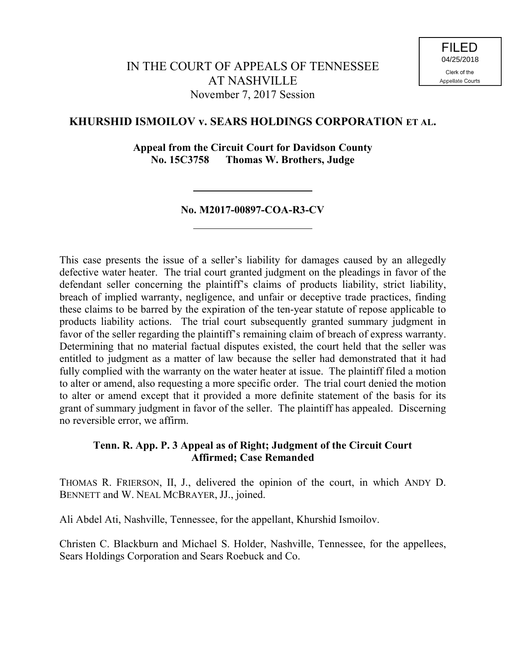# **KHURSHID ISMOILOV v. SEARS HOLDINGS CORPORATION ET AL.**

**Appeal from the Circuit Court for Davidson County No. 15C3758 Thomas W. Brothers, Judge**

## **No. M2017-00897-COA-R3-CV**

This case presents the issue of a seller's liability for damages caused by an allegedly defective water heater. The trial court granted judgment on the pleadings in favor of the defendant seller concerning the plaintiff's claims of products liability, strict liability, breach of implied warranty, negligence, and unfair or deceptive trade practices, finding these claims to be barred by the expiration of the ten-year statute of repose applicable to products liability actions. The trial court subsequently granted summary judgment in favor of the seller regarding the plaintiff's remaining claim of breach of express warranty. Determining that no material factual disputes existed, the court held that the seller was entitled to judgment as a matter of law because the seller had demonstrated that it had fully complied with the warranty on the water heater at issue. The plaintiff filed a motion to alter or amend, also requesting a more specific order. The trial court denied the motion to alter or amend except that it provided a more definite statement of the basis for its grant of summary judgment in favor of the seller. The plaintiff has appealed. Discerning no reversible error, we affirm.

## **Tenn. R. App. P. 3 Appeal as of Right; Judgment of the Circuit Court Affirmed; Case Remanded**

THOMAS R. FRIERSON, II, J., delivered the opinion of the court, in which ANDY D. BENNETT and W. NEAL MCBRAYER, JJ., joined.

Ali Abdel Ati, Nashville, Tennessee, for the appellant, Khurshid Ismoilov.

Christen C. Blackburn and Michael S. Holder, Nashville, Tennessee, for the appellees, Sears Holdings Corporation and Sears Roebuck and Co.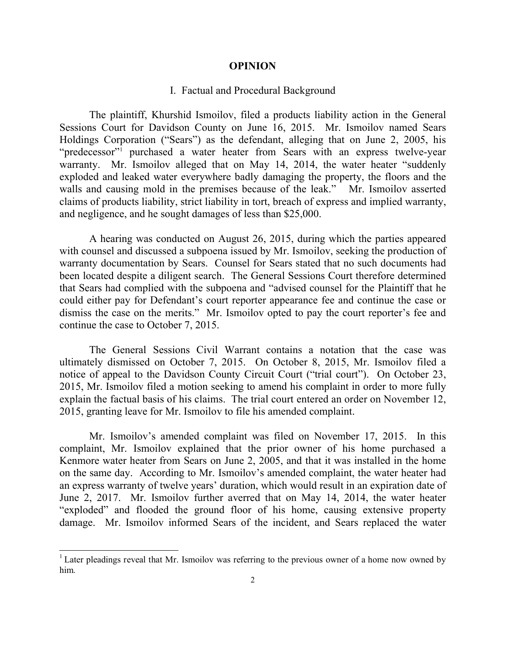#### **OPINION**

### I. Factual and Procedural Background

The plaintiff, Khurshid Ismoilov, filed a products liability action in the General Sessions Court for Davidson County on June 16, 2015. Mr. Ismoilov named Sears Holdings Corporation ("Sears") as the defendant, alleging that on June 2, 2005, his "predecessor"<sup>1</sup> purchased a water heater from Sears with an express twelve-year warranty. Mr. Ismoilov alleged that on May 14, 2014, the water heater "suddenly" exploded and leaked water everywhere badly damaging the property, the floors and the walls and causing mold in the premises because of the leak." Mr. Ismoilov asserted claims of products liability, strict liability in tort, breach of express and implied warranty, and negligence, and he sought damages of less than \$25,000.

A hearing was conducted on August 26, 2015, during which the parties appeared with counsel and discussed a subpoena issued by Mr. Ismoilov, seeking the production of warranty documentation by Sears. Counsel for Sears stated that no such documents had been located despite a diligent search. The General Sessions Court therefore determined that Sears had complied with the subpoena and "advised counsel for the Plaintiff that he could either pay for Defendant's court reporter appearance fee and continue the case or dismiss the case on the merits." Mr. Ismoilov opted to pay the court reporter's fee and continue the case to October 7, 2015.

The General Sessions Civil Warrant contains a notation that the case was ultimately dismissed on October 7, 2015. On October 8, 2015, Mr. Ismoilov filed a notice of appeal to the Davidson County Circuit Court ("trial court"). On October 23, 2015, Mr. Ismoilov filed a motion seeking to amend his complaint in order to more fully explain the factual basis of his claims. The trial court entered an order on November 12, 2015, granting leave for Mr. Ismoilov to file his amended complaint.

Mr. Ismoilov's amended complaint was filed on November 17, 2015. In this complaint, Mr. Ismoilov explained that the prior owner of his home purchased a Kenmore water heater from Sears on June 2, 2005, and that it was installed in the home on the same day. According to Mr. Ismoilov's amended complaint, the water heater had an express warranty of twelve years' duration, which would result in an expiration date of June 2, 2017. Mr. Ismoilov further averred that on May 14, 2014, the water heater "exploded" and flooded the ground floor of his home, causing extensive property damage. Mr. Ismoilov informed Sears of the incident, and Sears replaced the water

 $\overline{a}$ 

<sup>&</sup>lt;sup>1</sup> Later pleadings reveal that Mr. Ismoilov was referring to the previous owner of a home now owned by him.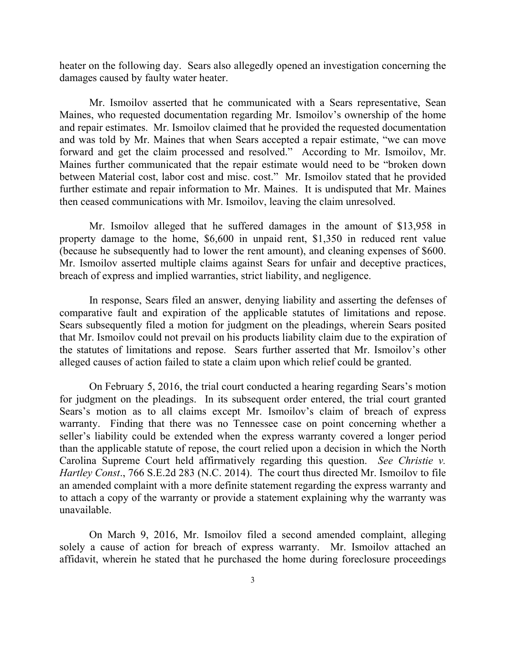heater on the following day. Sears also allegedly opened an investigation concerning the damages caused by faulty water heater.

Mr. Ismoilov asserted that he communicated with a Sears representative, Sean Maines, who requested documentation regarding Mr. Ismoilov's ownership of the home and repair estimates. Mr. Ismoilov claimed that he provided the requested documentation and was told by Mr. Maines that when Sears accepted a repair estimate, "we can move forward and get the claim processed and resolved." According to Mr. Ismoilov, Mr. Maines further communicated that the repair estimate would need to be "broken down between Material cost, labor cost and misc. cost." Mr. Ismoilov stated that he provided further estimate and repair information to Mr. Maines. It is undisputed that Mr. Maines then ceased communications with Mr. Ismoilov, leaving the claim unresolved.

Mr. Ismoilov alleged that he suffered damages in the amount of \$13,958 in property damage to the home, \$6,600 in unpaid rent, \$1,350 in reduced rent value (because he subsequently had to lower the rent amount), and cleaning expenses of \$600. Mr. Ismoilov asserted multiple claims against Sears for unfair and deceptive practices, breach of express and implied warranties, strict liability, and negligence.

In response, Sears filed an answer, denying liability and asserting the defenses of comparative fault and expiration of the applicable statutes of limitations and repose. Sears subsequently filed a motion for judgment on the pleadings, wherein Sears posited that Mr. Ismoilov could not prevail on his products liability claim due to the expiration of the statutes of limitations and repose. Sears further asserted that Mr. Ismoilov's other alleged causes of action failed to state a claim upon which relief could be granted.

On February 5, 2016, the trial court conducted a hearing regarding Sears's motion for judgment on the pleadings. In its subsequent order entered, the trial court granted Sears's motion as to all claims except Mr. Ismoilov's claim of breach of express warranty. Finding that there was no Tennessee case on point concerning whether a seller's liability could be extended when the express warranty covered a longer period than the applicable statute of repose, the court relied upon a decision in which the North Carolina Supreme Court held affirmatively regarding this question. *See Christie v. Hartley Const*., 766 S.E.2d 283 (N.C. 2014). The court thus directed Mr. Ismoilov to file an amended complaint with a more definite statement regarding the express warranty and to attach a copy of the warranty or provide a statement explaining why the warranty was unavailable.

On March 9, 2016, Mr. Ismoilov filed a second amended complaint, alleging solely a cause of action for breach of express warranty. Mr. Ismoilov attached an affidavit, wherein he stated that he purchased the home during foreclosure proceedings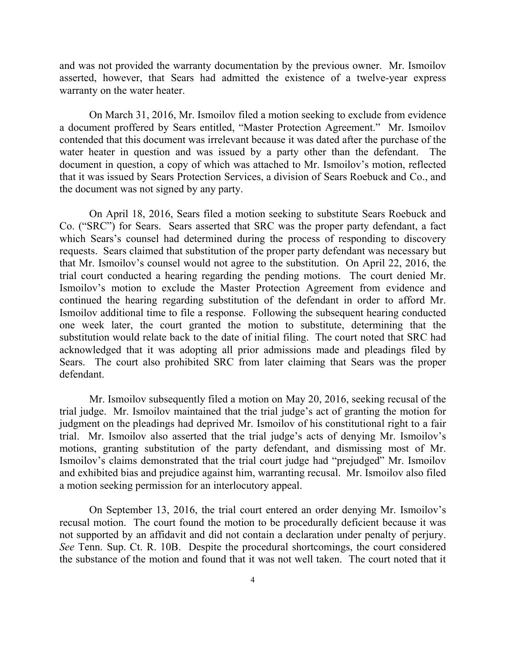and was not provided the warranty documentation by the previous owner. Mr. Ismoilov asserted, however, that Sears had admitted the existence of a twelve-year express warranty on the water heater.

On March 31, 2016, Mr. Ismoilov filed a motion seeking to exclude from evidence a document proffered by Sears entitled, "Master Protection Agreement." Mr. Ismoilov contended that this document was irrelevant because it was dated after the purchase of the water heater in question and was issued by a party other than the defendant. The document in question, a copy of which was attached to Mr. Ismoilov's motion, reflected that it was issued by Sears Protection Services, a division of Sears Roebuck and Co., and the document was not signed by any party.

On April 18, 2016, Sears filed a motion seeking to substitute Sears Roebuck and Co. ("SRC") for Sears. Sears asserted that SRC was the proper party defendant, a fact which Sears's counsel had determined during the process of responding to discovery requests. Sears claimed that substitution of the proper party defendant was necessary but that Mr. Ismoilov's counsel would not agree to the substitution. On April 22, 2016, the trial court conducted a hearing regarding the pending motions. The court denied Mr. Ismoilov's motion to exclude the Master Protection Agreement from evidence and continued the hearing regarding substitution of the defendant in order to afford Mr. Ismoilov additional time to file a response. Following the subsequent hearing conducted one week later, the court granted the motion to substitute, determining that the substitution would relate back to the date of initial filing. The court noted that SRC had acknowledged that it was adopting all prior admissions made and pleadings filed by Sears. The court also prohibited SRC from later claiming that Sears was the proper defendant.

Mr. Ismoilov subsequently filed a motion on May 20, 2016, seeking recusal of the trial judge. Mr. Ismoilov maintained that the trial judge's act of granting the motion for judgment on the pleadings had deprived Mr. Ismoilov of his constitutional right to a fair trial. Mr. Ismoilov also asserted that the trial judge's acts of denying Mr. Ismoilov's motions, granting substitution of the party defendant, and dismissing most of Mr. Ismoilov's claims demonstrated that the trial court judge had "prejudged" Mr. Ismoilov and exhibited bias and prejudice against him, warranting recusal. Mr. Ismoilov also filed a motion seeking permission for an interlocutory appeal.

On September 13, 2016, the trial court entered an order denying Mr. Ismoilov's recusal motion. The court found the motion to be procedurally deficient because it was not supported by an affidavit and did not contain a declaration under penalty of perjury. *See* Tenn. Sup. Ct. R. 10B. Despite the procedural shortcomings, the court considered the substance of the motion and found that it was not well taken. The court noted that it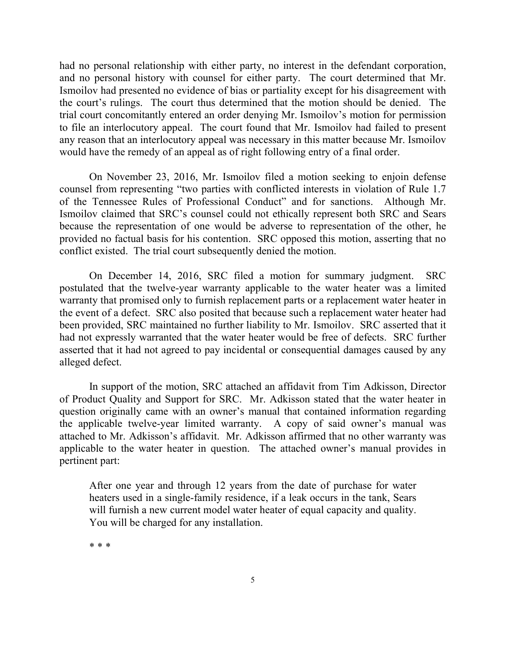had no personal relationship with either party, no interest in the defendant corporation, and no personal history with counsel for either party. The court determined that Mr. Ismoilov had presented no evidence of bias or partiality except for his disagreement with the court's rulings. The court thus determined that the motion should be denied. The trial court concomitantly entered an order denying Mr. Ismoilov's motion for permission to file an interlocutory appeal. The court found that Mr. Ismoilov had failed to present any reason that an interlocutory appeal was necessary in this matter because Mr. Ismoilov would have the remedy of an appeal as of right following entry of a final order.

On November 23, 2016, Mr. Ismoilov filed a motion seeking to enjoin defense counsel from representing "two parties with conflicted interests in violation of Rule 1.7 of the Tennessee Rules of Professional Conduct" and for sanctions. Although Mr. Ismoilov claimed that SRC's counsel could not ethically represent both SRC and Sears because the representation of one would be adverse to representation of the other, he provided no factual basis for his contention. SRC opposed this motion, asserting that no conflict existed. The trial court subsequently denied the motion.

On December 14, 2016, SRC filed a motion for summary judgment. SRC postulated that the twelve-year warranty applicable to the water heater was a limited warranty that promised only to furnish replacement parts or a replacement water heater in the event of a defect. SRC also posited that because such a replacement water heater had been provided, SRC maintained no further liability to Mr. Ismoilov. SRC asserted that it had not expressly warranted that the water heater would be free of defects. SRC further asserted that it had not agreed to pay incidental or consequential damages caused by any alleged defect.

In support of the motion, SRC attached an affidavit from Tim Adkisson, Director of Product Quality and Support for SRC. Mr. Adkisson stated that the water heater in question originally came with an owner's manual that contained information regarding the applicable twelve-year limited warranty. A copy of said owner's manual was attached to Mr. Adkisson's affidavit. Mr. Adkisson affirmed that no other warranty was applicable to the water heater in question. The attached owner's manual provides in pertinent part:

After one year and through 12 years from the date of purchase for water heaters used in a single-family residence, if a leak occurs in the tank, Sears will furnish a new current model water heater of equal capacity and quality. You will be charged for any installation.

\* \* \*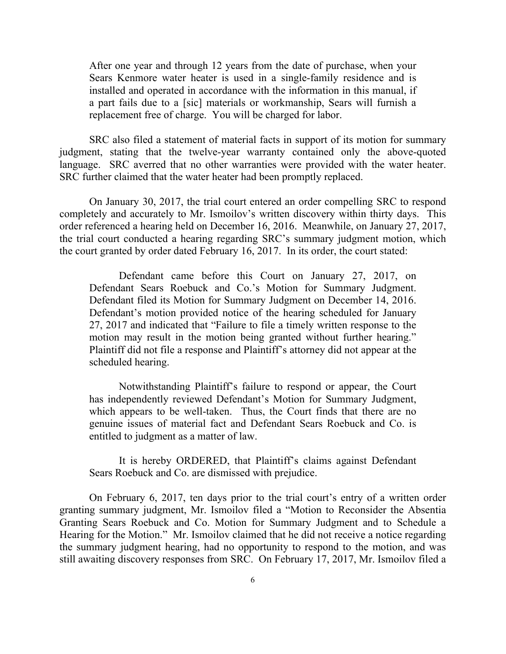After one year and through 12 years from the date of purchase, when your Sears Kenmore water heater is used in a single-family residence and is installed and operated in accordance with the information in this manual, if a part fails due to a [sic] materials or workmanship, Sears will furnish a replacement free of charge. You will be charged for labor.

SRC also filed a statement of material facts in support of its motion for summary judgment, stating that the twelve-year warranty contained only the above-quoted language. SRC averred that no other warranties were provided with the water heater. SRC further claimed that the water heater had been promptly replaced.

On January 30, 2017, the trial court entered an order compelling SRC to respond completely and accurately to Mr. Ismoilov's written discovery within thirty days. This order referenced a hearing held on December 16, 2016. Meanwhile, on January 27, 2017, the trial court conducted a hearing regarding SRC's summary judgment motion, which the court granted by order dated February 16, 2017. In its order, the court stated:

Defendant came before this Court on January 27, 2017, on Defendant Sears Roebuck and Co.'s Motion for Summary Judgment. Defendant filed its Motion for Summary Judgment on December 14, 2016. Defendant's motion provided notice of the hearing scheduled for January 27, 2017 and indicated that "Failure to file a timely written response to the motion may result in the motion being granted without further hearing." Plaintiff did not file a response and Plaintiff's attorney did not appear at the scheduled hearing.

Notwithstanding Plaintiff's failure to respond or appear, the Court has independently reviewed Defendant's Motion for Summary Judgment, which appears to be well-taken. Thus, the Court finds that there are no genuine issues of material fact and Defendant Sears Roebuck and Co. is entitled to judgment as a matter of law.

It is hereby ORDERED, that Plaintiff's claims against Defendant Sears Roebuck and Co. are dismissed with prejudice.

On February 6, 2017, ten days prior to the trial court's entry of a written order granting summary judgment, Mr. Ismoilov filed a "Motion to Reconsider the Absentia Granting Sears Roebuck and Co. Motion for Summary Judgment and to Schedule a Hearing for the Motion." Mr. Ismoilov claimed that he did not receive a notice regarding the summary judgment hearing, had no opportunity to respond to the motion, and was still awaiting discovery responses from SRC. On February 17, 2017, Mr. Ismoilov filed a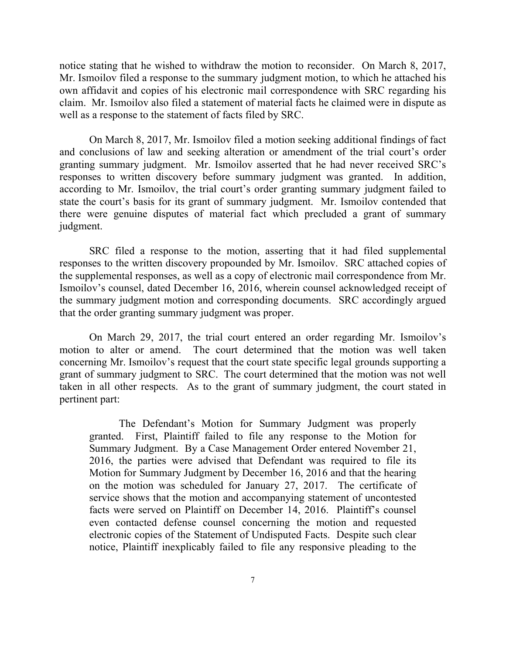notice stating that he wished to withdraw the motion to reconsider. On March 8, 2017, Mr. Ismoilov filed a response to the summary judgment motion, to which he attached his own affidavit and copies of his electronic mail correspondence with SRC regarding his claim. Mr. Ismoilov also filed a statement of material facts he claimed were in dispute as well as a response to the statement of facts filed by SRC.

On March 8, 2017, Mr. Ismoilov filed a motion seeking additional findings of fact and conclusions of law and seeking alteration or amendment of the trial court's order granting summary judgment. Mr. Ismoilov asserted that he had never received SRC's responses to written discovery before summary judgment was granted. In addition, according to Mr. Ismoilov, the trial court's order granting summary judgment failed to state the court's basis for its grant of summary judgment. Mr. Ismoilov contended that there were genuine disputes of material fact which precluded a grant of summary judgment.

SRC filed a response to the motion, asserting that it had filed supplemental responses to the written discovery propounded by Mr. Ismoilov. SRC attached copies of the supplemental responses, as well as a copy of electronic mail correspondence from Mr. Ismoilov's counsel, dated December 16, 2016, wherein counsel acknowledged receipt of the summary judgment motion and corresponding documents. SRC accordingly argued that the order granting summary judgment was proper.

On March 29, 2017, the trial court entered an order regarding Mr. Ismoilov's motion to alter or amend. The court determined that the motion was well taken concerning Mr. Ismoilov's request that the court state specific legal grounds supporting a grant of summary judgment to SRC. The court determined that the motion was not well taken in all other respects. As to the grant of summary judgment, the court stated in pertinent part:

The Defendant's Motion for Summary Judgment was properly granted. First, Plaintiff failed to file any response to the Motion for Summary Judgment. By a Case Management Order entered November 21, 2016, the parties were advised that Defendant was required to file its Motion for Summary Judgment by December 16, 2016 and that the hearing on the motion was scheduled for January 27, 2017. The certificate of service shows that the motion and accompanying statement of uncontested facts were served on Plaintiff on December 14, 2016. Plaintiff's counsel even contacted defense counsel concerning the motion and requested electronic copies of the Statement of Undisputed Facts. Despite such clear notice, Plaintiff inexplicably failed to file any responsive pleading to the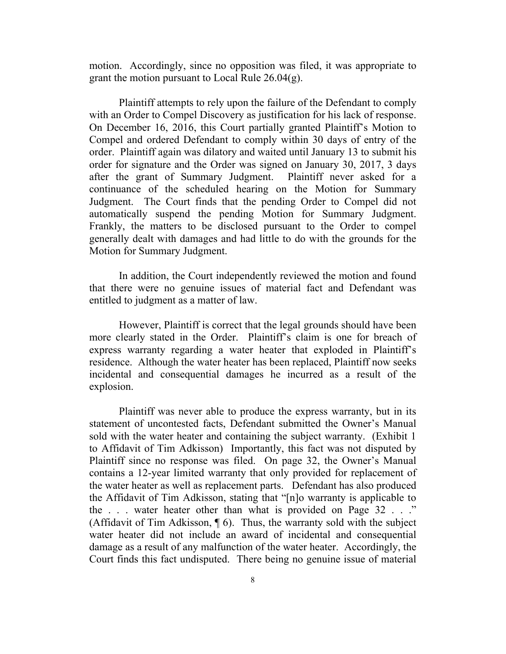motion. Accordingly, since no opposition was filed, it was appropriate to grant the motion pursuant to Local Rule 26.04(g).

Plaintiff attempts to rely upon the failure of the Defendant to comply with an Order to Compel Discovery as justification for his lack of response. On December 16, 2016, this Court partially granted Plaintiff's Motion to Compel and ordered Defendant to comply within 30 days of entry of the order. Plaintiff again was dilatory and waited until January 13 to submit his order for signature and the Order was signed on January 30, 2017, 3 days after the grant of Summary Judgment. Plaintiff never asked for a continuance of the scheduled hearing on the Motion for Summary Judgment. The Court finds that the pending Order to Compel did not automatically suspend the pending Motion for Summary Judgment. Frankly, the matters to be disclosed pursuant to the Order to compel generally dealt with damages and had little to do with the grounds for the Motion for Summary Judgment.

In addition, the Court independently reviewed the motion and found that there were no genuine issues of material fact and Defendant was entitled to judgment as a matter of law.

However, Plaintiff is correct that the legal grounds should have been more clearly stated in the Order. Plaintiff's claim is one for breach of express warranty regarding a water heater that exploded in Plaintiff's residence. Although the water heater has been replaced, Plaintiff now seeks incidental and consequential damages he incurred as a result of the explosion.

Plaintiff was never able to produce the express warranty, but in its statement of uncontested facts, Defendant submitted the Owner's Manual sold with the water heater and containing the subject warranty. (Exhibit 1 to Affidavit of Tim Adkisson) Importantly, this fact was not disputed by Plaintiff since no response was filed. On page 32, the Owner's Manual contains a 12-year limited warranty that only provided for replacement of the water heater as well as replacement parts. Defendant has also produced the Affidavit of Tim Adkisson, stating that "[n]o warranty is applicable to the . . . water heater other than what is provided on Page 32 . . ." (Affidavit of Tim Adkisson,  $\P$  6). Thus, the warranty sold with the subject water heater did not include an award of incidental and consequential damage as a result of any malfunction of the water heater. Accordingly, the Court finds this fact undisputed. There being no genuine issue of material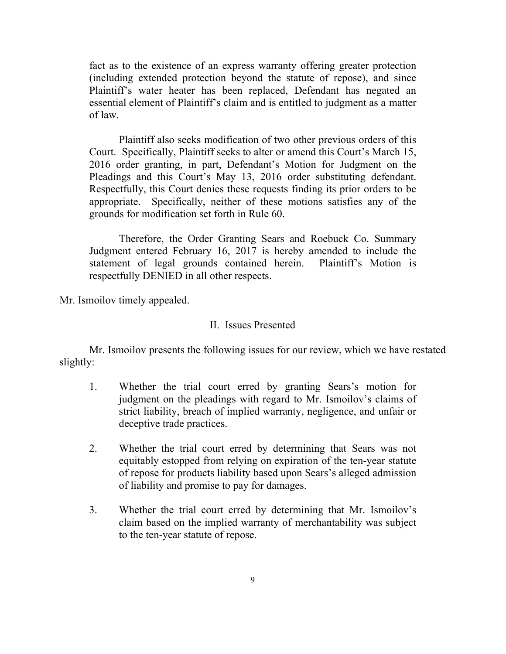fact as to the existence of an express warranty offering greater protection (including extended protection beyond the statute of repose), and since Plaintiff's water heater has been replaced, Defendant has negated an essential element of Plaintiff's claim and is entitled to judgment as a matter of law.

Plaintiff also seeks modification of two other previous orders of this Court. Specifically, Plaintiff seeks to alter or amend this Court's March 15, 2016 order granting, in part, Defendant's Motion for Judgment on the Pleadings and this Court's May 13, 2016 order substituting defendant. Respectfully, this Court denies these requests finding its prior orders to be appropriate. Specifically, neither of these motions satisfies any of the grounds for modification set forth in Rule 60.

Therefore, the Order Granting Sears and Roebuck Co. Summary Judgment entered February 16, 2017 is hereby amended to include the statement of legal grounds contained herein. Plaintiff's Motion is respectfully DENIED in all other respects.

Mr. Ismoilov timely appealed.

### II. Issues Presented

Mr. Ismoilov presents the following issues for our review, which we have restated slightly:

- 1. Whether the trial court erred by granting Sears's motion for judgment on the pleadings with regard to Mr. Ismoilov's claims of strict liability, breach of implied warranty, negligence, and unfair or deceptive trade practices.
- 2. Whether the trial court erred by determining that Sears was not equitably estopped from relying on expiration of the ten-year statute of repose for products liability based upon Sears's alleged admission of liability and promise to pay for damages.
- 3. Whether the trial court erred by determining that Mr. Ismoilov's claim based on the implied warranty of merchantability was subject to the ten-year statute of repose.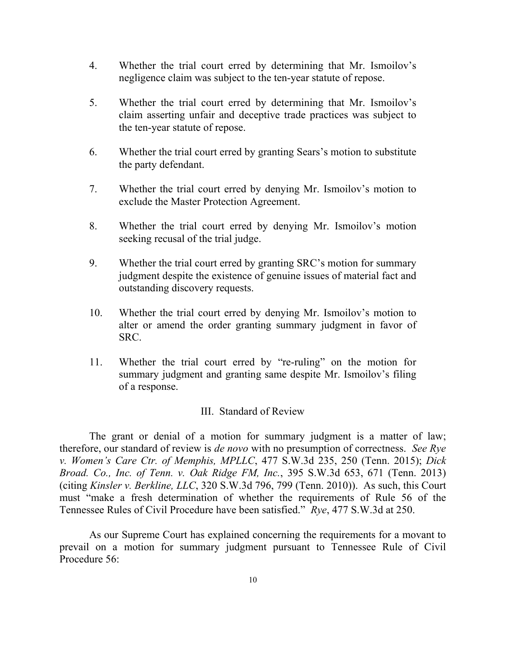- 4. Whether the trial court erred by determining that Mr. Ismoilov's negligence claim was subject to the ten-year statute of repose.
- 5. Whether the trial court erred by determining that Mr. Ismoilov's claim asserting unfair and deceptive trade practices was subject to the ten-year statute of repose.
- 6. Whether the trial court erred by granting Sears's motion to substitute the party defendant.
- 7. Whether the trial court erred by denying Mr. Ismoilov's motion to exclude the Master Protection Agreement.
- 8. Whether the trial court erred by denying Mr. Ismoilov's motion seeking recusal of the trial judge.
- 9. Whether the trial court erred by granting SRC's motion for summary judgment despite the existence of genuine issues of material fact and outstanding discovery requests.
- 10. Whether the trial court erred by denying Mr. Ismoilov's motion to alter or amend the order granting summary judgment in favor of SRC.
- 11. Whether the trial court erred by "re-ruling" on the motion for summary judgment and granting same despite Mr. Ismoilov's filing of a response.

## III. Standard of Review

The grant or denial of a motion for summary judgment is a matter of law; therefore, our standard of review is *de novo* with no presumption of correctness. *See Rye v. Women's Care Ctr. of Memphis, MPLLC*, 477 S.W.3d 235, 250 (Tenn. 2015); *Dick Broad. Co., Inc. of Tenn. v. Oak Ridge FM, Inc.*, 395 S.W.3d 653, 671 (Tenn. 2013) (citing *Kinsler v. Berkline, LLC*, 320 S.W.3d 796, 799 (Tenn. 2010)). As such, this Court must "make a fresh determination of whether the requirements of Rule 56 of the Tennessee Rules of Civil Procedure have been satisfied." *Rye*, 477 S.W.3d at 250.

As our Supreme Court has explained concerning the requirements for a movant to prevail on a motion for summary judgment pursuant to Tennessee Rule of Civil Procedure 56: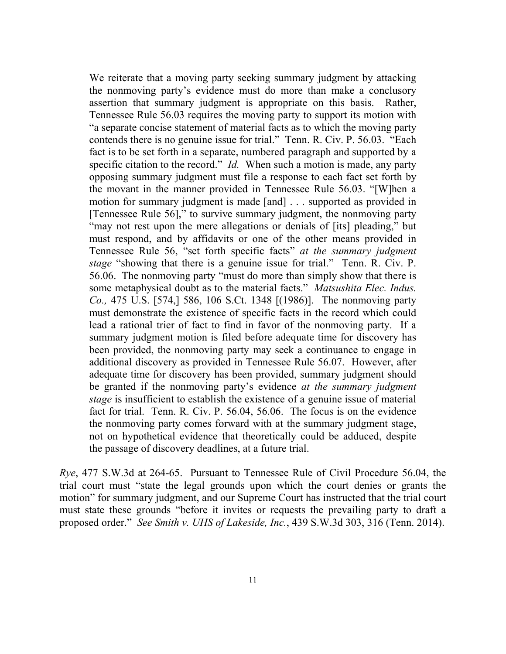We reiterate that a moving party seeking summary judgment by attacking the nonmoving party's evidence must do more than make a conclusory assertion that summary judgment is appropriate on this basis. Rather, Tennessee Rule 56.03 requires the moving party to support its motion with "a separate concise statement of material facts as to which the moving party contends there is no genuine issue for trial." Tenn. R. Civ. P. 56.03. "Each fact is to be set forth in a separate, numbered paragraph and supported by a specific citation to the record." *Id.* When such a motion is made, any party opposing summary judgment must file a response to each fact set forth by the movant in the manner provided in Tennessee Rule 56.03. "[W]hen a motion for summary judgment is made [and] . . . supported as provided in [Tennessee Rule 56]," to survive summary judgment, the nonmoving party "may not rest upon the mere allegations or denials of [its] pleading," but must respond, and by affidavits or one of the other means provided in Tennessee Rule 56, "set forth specific facts" *at the summary judgment stage* "showing that there is a genuine issue for trial." Tenn. R. Civ. P. 56.06. The nonmoving party "must do more than simply show that there is some metaphysical doubt as to the material facts." *Matsushita Elec. Indus. Co.,* 475 U.S. [574,] 586, 106 S.Ct. 1348 [(1986)]. The nonmoving party must demonstrate the existence of specific facts in the record which could lead a rational trier of fact to find in favor of the nonmoving party. If a summary judgment motion is filed before adequate time for discovery has been provided, the nonmoving party may seek a continuance to engage in additional discovery as provided in Tennessee Rule 56.07. However, after adequate time for discovery has been provided, summary judgment should be granted if the nonmoving party's evidence *at the summary judgment stage* is insufficient to establish the existence of a genuine issue of material fact for trial. Tenn. R. Civ. P. 56.04, 56.06. The focus is on the evidence the nonmoving party comes forward with at the summary judgment stage, not on hypothetical evidence that theoretically could be adduced, despite the passage of discovery deadlines, at a future trial.

*Rye*, 477 S.W.3d at 264-65. Pursuant to Tennessee Rule of Civil Procedure 56.04, the trial court must "state the legal grounds upon which the court denies or grants the motion" for summary judgment, and our Supreme Court has instructed that the trial court must state these grounds "before it invites or requests the prevailing party to draft a proposed order." *See Smith v. UHS of Lakeside, Inc.*, 439 S.W.3d 303, 316 (Tenn. 2014).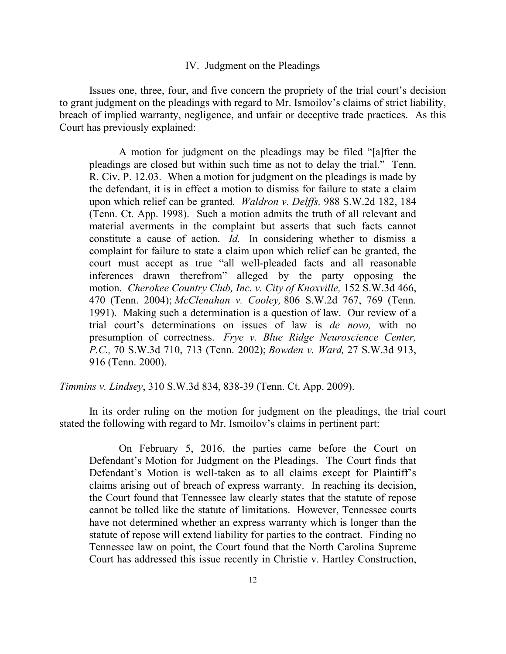#### IV. Judgment on the Pleadings

Issues one, three, four, and five concern the propriety of the trial court's decision to grant judgment on the pleadings with regard to Mr. Ismoilov's claims of strict liability, breach of implied warranty, negligence, and unfair or deceptive trade practices. As this Court has previously explained:

A motion for judgment on the pleadings may be filed "[a]fter the pleadings are closed but within such time as not to delay the trial." Tenn. R. Civ. P. 12.03. When a motion for judgment on the pleadings is made by the defendant, it is in effect a motion to dismiss for failure to state a claim upon which relief can be granted. *Waldron v. Delffs,* 988 S.W.2d 182, 184 (Tenn. Ct. App. 1998). Such a motion admits the truth of all relevant and material averments in the complaint but asserts that such facts cannot constitute a cause of action. *Id.* In considering whether to dismiss a complaint for failure to state a claim upon which relief can be granted, the court must accept as true "all well-pleaded facts and all reasonable inferences drawn therefrom" alleged by the party opposing the motion. *Cherokee Country Club, Inc. v. City of Knoxville,* 152 S.W.3d 466, 470 (Tenn. 2004); *McClenahan v. Cooley,* 806 S.W.2d 767, 769 (Tenn. 1991). Making such a determination is a question of law. Our review of a trial court's determinations on issues of law is *de novo,* with no presumption of correctness. *Frye v. Blue Ridge Neuroscience Center, P.C.,* 70 S.W.3d 710, 713 (Tenn. 2002); *Bowden v. Ward,* 27 S.W.3d 913, 916 (Tenn. 2000).

*Timmins v. Lindsey*, 310 S.W.3d 834, 838-39 (Tenn. Ct. App. 2009).

In its order ruling on the motion for judgment on the pleadings, the trial court stated the following with regard to Mr. Ismoilov's claims in pertinent part:

On February 5, 2016, the parties came before the Court on Defendant's Motion for Judgment on the Pleadings. The Court finds that Defendant's Motion is well-taken as to all claims except for Plaintiff's claims arising out of breach of express warranty. In reaching its decision, the Court found that Tennessee law clearly states that the statute of repose cannot be tolled like the statute of limitations. However, Tennessee courts have not determined whether an express warranty which is longer than the statute of repose will extend liability for parties to the contract. Finding no Tennessee law on point, the Court found that the North Carolina Supreme Court has addressed this issue recently in Christie v. Hartley Construction,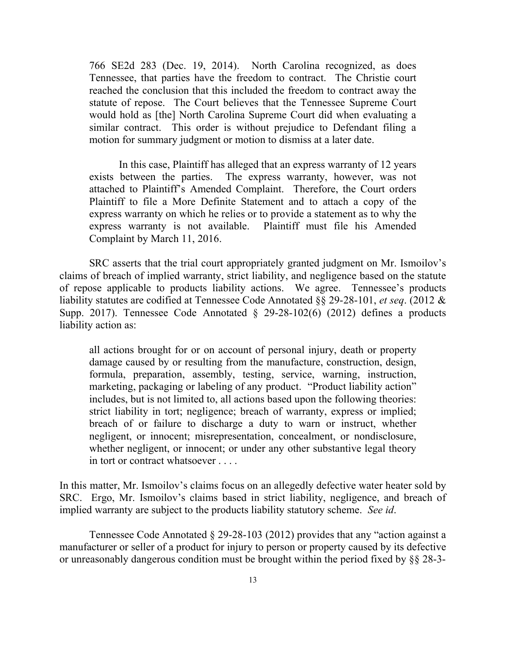766 SE2d 283 (Dec. 19, 2014). North Carolina recognized, as does Tennessee, that parties have the freedom to contract. The Christie court reached the conclusion that this included the freedom to contract away the statute of repose. The Court believes that the Tennessee Supreme Court would hold as [the] North Carolina Supreme Court did when evaluating a similar contract. This order is without prejudice to Defendant filing a motion for summary judgment or motion to dismiss at a later date.

In this case, Plaintiff has alleged that an express warranty of 12 years exists between the parties. The express warranty, however, was not attached to Plaintiff's Amended Complaint. Therefore, the Court orders Plaintiff to file a More Definite Statement and to attach a copy of the express warranty on which he relies or to provide a statement as to why the express warranty is not available. Plaintiff must file his Amended Complaint by March 11, 2016.

SRC asserts that the trial court appropriately granted judgment on Mr. Ismoilov's claims of breach of implied warranty, strict liability, and negligence based on the statute of repose applicable to products liability actions. We agree. Tennessee's products liability statutes are codified at Tennessee Code Annotated §§ 29-28-101, *et seq*. (2012 & Supp. 2017). Tennessee Code Annotated § 29-28-102(6) (2012) defines a products liability action as:

all actions brought for or on account of personal injury, death or property damage caused by or resulting from the manufacture, construction, design, formula, preparation, assembly, testing, service, warning, instruction, marketing, packaging or labeling of any product. "Product liability action" includes, but is not limited to, all actions based upon the following theories: strict liability in tort; negligence; breach of warranty, express or implied; breach of or failure to discharge a duty to warn or instruct, whether negligent, or innocent; misrepresentation, concealment, or nondisclosure, whether negligent, or innocent; or under any other substantive legal theory in tort or contract whatsoever . . . .

In this matter, Mr. Ismoilov's claims focus on an allegedly defective water heater sold by SRC. Ergo, Mr. Ismoilov's claims based in strict liability, negligence, and breach of implied warranty are subject to the products liability statutory scheme. *See id*.

Tennessee Code Annotated § 29-28-103 (2012) provides that any "action against a manufacturer or seller of a product for injury to person or property caused by its defective or unreasonably dangerous condition must be brought within the period fixed by §§ 28-3-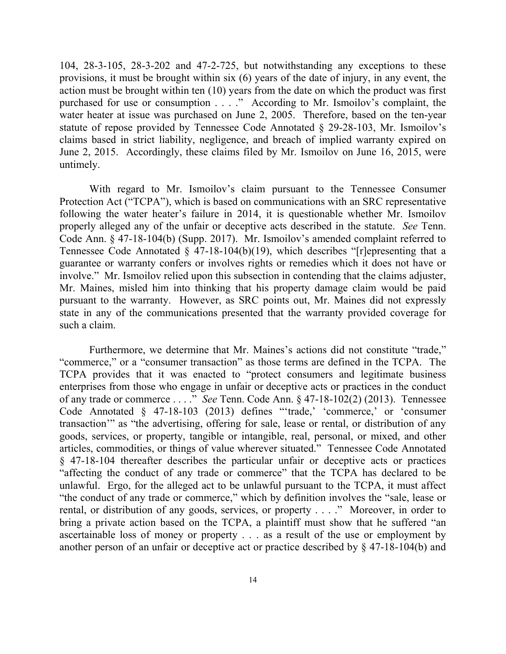104, 28-3-105, 28-3-202 and 47-2-725, but notwithstanding any exceptions to these provisions, it must be brought within six (6) years of the date of injury, in any event, the action must be brought within ten (10) years from the date on which the product was first purchased for use or consumption . . . ." According to Mr. Ismoilov's complaint, the water heater at issue was purchased on June 2, 2005. Therefore, based on the ten-year statute of repose provided by Tennessee Code Annotated § 29-28-103, Mr. Ismoilov's claims based in strict liability, negligence, and breach of implied warranty expired on June 2, 2015. Accordingly, these claims filed by Mr. Ismoilov on June 16, 2015, were untimely.

With regard to Mr. Ismoilov's claim pursuant to the Tennessee Consumer Protection Act ("TCPA"), which is based on communications with an SRC representative following the water heater's failure in 2014, it is questionable whether Mr. Ismoilov properly alleged any of the unfair or deceptive acts described in the statute. *See* Tenn. Code Ann. § 47-18-104(b) (Supp. 2017). Mr. Ismoilov's amended complaint referred to Tennessee Code Annotated  $\S$  47-18-104(b)(19), which describes "[r]epresenting that a guarantee or warranty confers or involves rights or remedies which it does not have or involve." Mr. Ismoilov relied upon this subsection in contending that the claims adjuster, Mr. Maines, misled him into thinking that his property damage claim would be paid pursuant to the warranty. However, as SRC points out, Mr. Maines did not expressly state in any of the communications presented that the warranty provided coverage for such a claim.

Furthermore, we determine that Mr. Maines's actions did not constitute "trade," "commerce," or a "consumer transaction" as those terms are defined in the TCPA. The TCPA provides that it was enacted to "protect consumers and legitimate business enterprises from those who engage in unfair or deceptive acts or practices in the conduct of any trade or commerce . . . ." *See* Tenn. Code Ann. § 47-18-102(2) (2013). Tennessee Code Annotated § 47-18-103 (2013) defines "'trade,' 'commerce,' or 'consumer transaction'" as "the advertising, offering for sale, lease or rental, or distribution of any goods, services, or property, tangible or intangible, real, personal, or mixed, and other articles, commodities, or things of value wherever situated." Tennessee Code Annotated § 47-18-104 thereafter describes the particular unfair or deceptive acts or practices "affecting the conduct of any trade or commerce" that the TCPA has declared to be unlawful. Ergo, for the alleged act to be unlawful pursuant to the TCPA, it must affect "the conduct of any trade or commerce," which by definition involves the "sale, lease or rental, or distribution of any goods, services, or property . . . ." Moreover, in order to bring a private action based on the TCPA, a plaintiff must show that he suffered "an ascertainable loss of money or property . . . as a result of the use or employment by another person of an unfair or deceptive act or practice described by § 47-18-104(b) and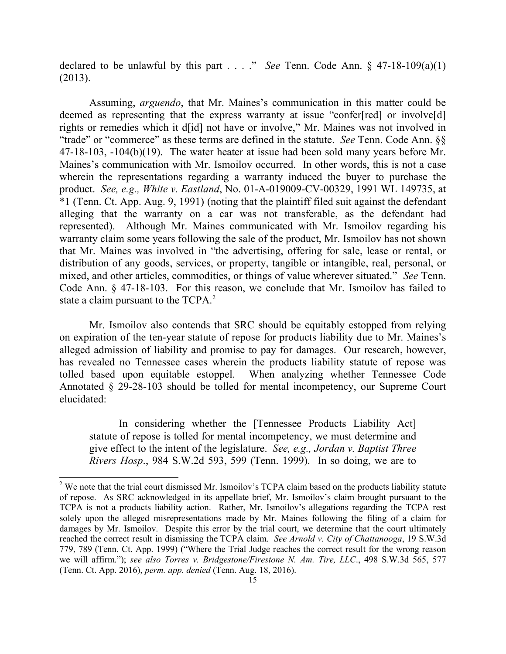declared to be unlawful by this part . . . ." *See* Tenn. Code Ann. § 47-18-109(a)(1) (2013).

Assuming, *arguendo*, that Mr. Maines's communication in this matter could be deemed as representing that the express warranty at issue "confer[red] or involve[d] rights or remedies which it d[id] not have or involve," Mr. Maines was not involved in "trade" or "commerce" as these terms are defined in the statute. *See* Tenn. Code Ann. §§ 47-18-103, -104(b)(19). The water heater at issue had been sold many years before Mr. Maines's communication with Mr. Ismoilov occurred. In other words, this is not a case wherein the representations regarding a warranty induced the buyer to purchase the product. *See, e.g., White v. Eastland*, No. 01-A-019009-CV-00329, 1991 WL 149735, at \*1 (Tenn. Ct. App. Aug. 9, 1991) (noting that the plaintiff filed suit against the defendant alleging that the warranty on a car was not transferable, as the defendant had represented). Although Mr. Maines communicated with Mr. Ismoilov regarding his warranty claim some years following the sale of the product, Mr. Ismoilov has not shown that Mr. Maines was involved in "the advertising, offering for sale, lease or rental, or distribution of any goods, services, or property, tangible or intangible, real, personal, or mixed, and other articles, commodities, or things of value wherever situated." *See* Tenn. Code Ann. § 47-18-103. For this reason, we conclude that Mr. Ismoilov has failed to state a claim pursuant to the TCPA.<sup>2</sup>

Mr. Ismoilov also contends that SRC should be equitably estopped from relying on expiration of the ten-year statute of repose for products liability due to Mr. Maines's alleged admission of liability and promise to pay for damages. Our research, however, has revealed no Tennessee cases wherein the products liability statute of repose was tolled based upon equitable estoppel. When analyzing whether Tennessee Code Annotated § 29-28-103 should be tolled for mental incompetency, our Supreme Court elucidated:

In considering whether the [Tennessee Products Liability Act] statute of repose is tolled for mental incompetency, we must determine and give effect to the intent of the legislature. *See, e.g., Jordan v. Baptist Three Rivers Hosp*., 984 S.W.2d 593, 599 (Tenn. 1999). In so doing, we are to

 $\overline{\phantom{a}}$ 

<sup>&</sup>lt;sup>2</sup> We note that the trial court dismissed Mr. Ismoilov's TCPA claim based on the products liability statute of repose. As SRC acknowledged in its appellate brief, Mr. Ismoilov's claim brought pursuant to the TCPA is not a products liability action. Rather, Mr. Ismoilov's allegations regarding the TCPA rest solely upon the alleged misrepresentations made by Mr. Maines following the filing of a claim for damages by Mr. Ismoilov. Despite this error by the trial court, we determine that the court ultimately reached the correct result in dismissing the TCPA claim. *See Arnold v. City of Chattanooga*, 19 S.W.3d 779, 789 (Tenn. Ct. App. 1999) ("Where the Trial Judge reaches the correct result for the wrong reason we will affirm."); *see also Torres v. Bridgestone/Firestone N. Am. Tire, LLC*., 498 S.W.3d 565, 577 (Tenn. Ct. App. 2016), *perm. app. denied* (Tenn. Aug. 18, 2016).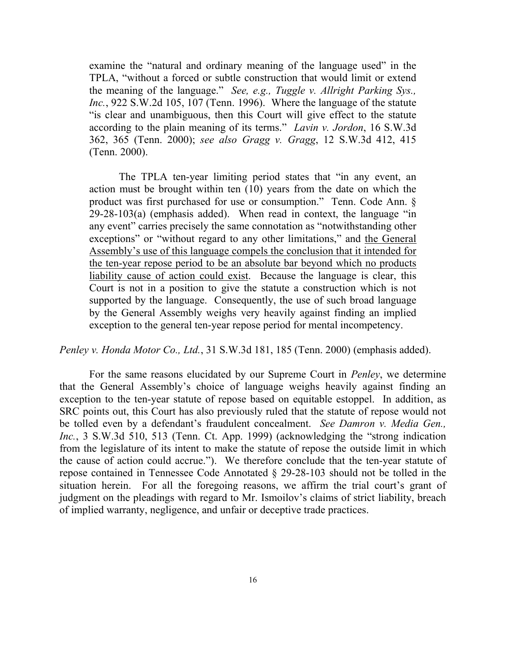examine the "natural and ordinary meaning of the language used" in the TPLA, "without a forced or subtle construction that would limit or extend the meaning of the language." *See, e.g., Tuggle v. Allright Parking Sys., Inc.*, 922 S.W.2d 105, 107 (Tenn. 1996). Where the language of the statute "is clear and unambiguous, then this Court will give effect to the statute according to the plain meaning of its terms." *Lavin v. Jordon*, 16 S.W.3d 362, 365 (Tenn. 2000); *see also Gragg v. Gragg*, 12 S.W.3d 412, 415 (Tenn. 2000).

The TPLA ten-year limiting period states that "in any event, an action must be brought within ten (10) years from the date on which the product was first purchased for use or consumption." Tenn. Code Ann. §  $29-28-103(a)$  (emphasis added). When read in context, the language "in any event" carries precisely the same connotation as "notwithstanding other exceptions" or "without regard to any other limitations," and the General Assembly's use of this language compels the conclusion that it intended for the ten-year repose period to be an absolute bar beyond which no products liability cause of action could exist. Because the language is clear, this Court is not in a position to give the statute a construction which is not supported by the language. Consequently, the use of such broad language by the General Assembly weighs very heavily against finding an implied exception to the general ten-year repose period for mental incompetency.

*Penley v. Honda Motor Co., Ltd.*, 31 S.W.3d 181, 185 (Tenn. 2000) (emphasis added).

For the same reasons elucidated by our Supreme Court in *Penley*, we determine that the General Assembly's choice of language weighs heavily against finding an exception to the ten-year statute of repose based on equitable estoppel. In addition, as SRC points out, this Court has also previously ruled that the statute of repose would not be tolled even by a defendant's fraudulent concealment. *See Damron v. Media Gen., Inc.*, 3 S.W.3d 510, 513 (Tenn. Ct. App. 1999) (acknowledging the "strong indication" from the legislature of its intent to make the statute of repose the outside limit in which the cause of action could accrue."). We therefore conclude that the ten-year statute of repose contained in Tennessee Code Annotated § 29-28-103 should not be tolled in the situation herein. For all the foregoing reasons, we affirm the trial court's grant of judgment on the pleadings with regard to Mr. Ismoilov's claims of strict liability, breach of implied warranty, negligence, and unfair or deceptive trade practices.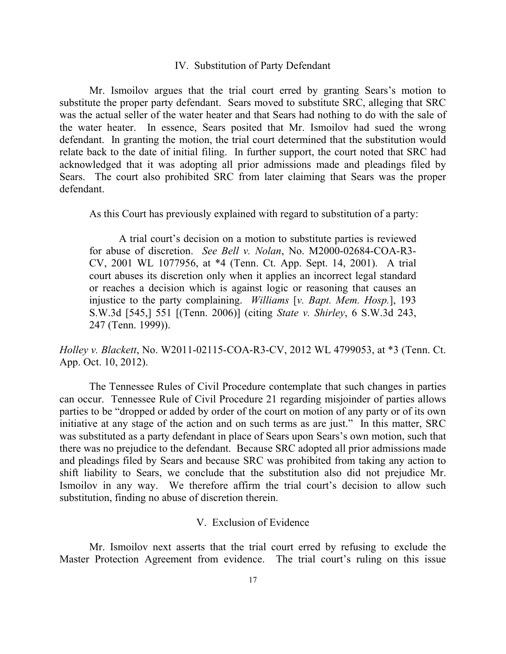#### IV. Substitution of Party Defendant

Mr. Ismoilov argues that the trial court erred by granting Sears's motion to substitute the proper party defendant. Sears moved to substitute SRC, alleging that SRC was the actual seller of the water heater and that Sears had nothing to do with the sale of the water heater. In essence, Sears posited that Mr. Ismoilov had sued the wrong defendant. In granting the motion, the trial court determined that the substitution would relate back to the date of initial filing. In further support, the court noted that SRC had acknowledged that it was adopting all prior admissions made and pleadings filed by Sears. The court also prohibited SRC from later claiming that Sears was the proper defendant.

As this Court has previously explained with regard to substitution of a party:

A trial court's decision on a motion to substitute parties is reviewed for abuse of discretion. *See Bell v. Nolan*, No. M2000-02684-COA-R3- CV, 2001 WL 1077956, at \*4 (Tenn. Ct. App. Sept. 14, 2001). A trial court abuses its discretion only when it applies an incorrect legal standard or reaches a decision which is against logic or reasoning that causes an injustice to the party complaining. *Williams* [*v. Bapt. Mem. Hosp.*], 193 S.W.3d [545,] 551 [(Tenn. 2006)] (citing *State v. Shirley*, 6 S.W.3d 243, 247 (Tenn. 1999)).

*Holley v. Blackett*, No. W2011-02115-COA-R3-CV, 2012 WL 4799053, at \*3 (Tenn. Ct. App. Oct. 10, 2012).

The Tennessee Rules of Civil Procedure contemplate that such changes in parties can occur. Tennessee Rule of Civil Procedure 21 regarding misjoinder of parties allows parties to be "dropped or added by order of the court on motion of any party or of its own initiative at any stage of the action and on such terms as are just." In this matter, SRC was substituted as a party defendant in place of Sears upon Sears's own motion, such that there was no prejudice to the defendant. Because SRC adopted all prior admissions made and pleadings filed by Sears and because SRC was prohibited from taking any action to shift liability to Sears, we conclude that the substitution also did not prejudice Mr. Ismoilov in any way. We therefore affirm the trial court's decision to allow such substitution, finding no abuse of discretion therein.

## V. Exclusion of Evidence

Mr. Ismoilov next asserts that the trial court erred by refusing to exclude the Master Protection Agreement from evidence. The trial court's ruling on this issue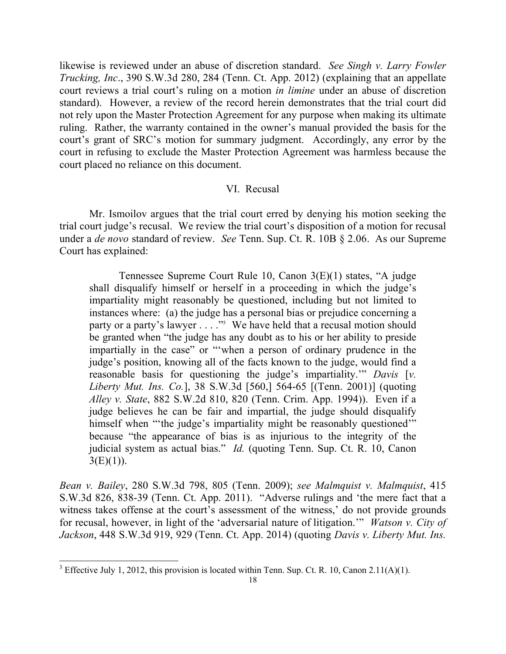likewise is reviewed under an abuse of discretion standard. *See Singh v. Larry Fowler Trucking, Inc*., 390 S.W.3d 280, 284 (Tenn. Ct. App. 2012) (explaining that an appellate court reviews a trial court's ruling on a motion *in limine* under an abuse of discretion standard). However, a review of the record herein demonstrates that the trial court did not rely upon the Master Protection Agreement for any purpose when making its ultimate ruling. Rather, the warranty contained in the owner's manual provided the basis for the court's grant of SRC's motion for summary judgment. Accordingly, any error by the court in refusing to exclude the Master Protection Agreement was harmless because the court placed no reliance on this document.

## VI. Recusal

Mr. Ismoilov argues that the trial court erred by denying his motion seeking the trial court judge's recusal. We review the trial court's disposition of a motion for recusal under a *de novo* standard of review. *See* Tenn. Sup. Ct. R. 10B § 2.06. As our Supreme Court has explained:

Tennessee Supreme Court Rule 10, Canon 3(E)(1) states, "A judge shall disqualify himself or herself in a proceeding in which the judge's impartiality might reasonably be questioned, including but not limited to instances where: (a) the judge has a personal bias or prejudice concerning a party or a party's lawyer . . . ."<sup>3</sup> We have held that a recusal motion should be granted when "the judge has any doubt as to his or her ability to preside impartially in the case" or "'when a person of ordinary prudence in the judge's position, knowing all of the facts known to the judge, would find a reasonable basis for questioning the judge's impartiality.'" *Davis* [*v. Liberty Mut. Ins. Co.*], 38 S.W.3d [560,] 564-65 [(Tenn. 2001)] (quoting *Alley v. State*, 882 S.W.2d 810, 820 (Tenn. Crim. App. 1994)). Even if a judge believes he can be fair and impartial, the judge should disqualify himself when "the judge's impartiality might be reasonably questioned" because "the appearance of bias is as injurious to the integrity of the judicial system as actual bias." *Id.* (quoting Tenn. Sup. Ct. R. 10, Canon  $3(E)(1)$ ).

*Bean v. Bailey*, 280 S.W.3d 798, 805 (Tenn. 2009); *see Malmquist v. Malmquist*, 415 S.W.3d 826, 838-39 (Tenn. Ct. App. 2011). "Adverse rulings and 'the mere fact that a witness takes offense at the court's assessment of the witness,' do not provide grounds for recusal, however, in light of the 'adversarial nature of litigation.'" *Watson v. City of Jackson*, 448 S.W.3d 919, 929 (Tenn. Ct. App. 2014) (quoting *Davis v. Liberty Mut. Ins.* 

 $\overline{\phantom{a}}$ 

<sup>&</sup>lt;sup>3</sup> Effective July 1, 2012, this provision is located within Tenn. Sup. Ct. R. 10, Canon 2.11(A)(1).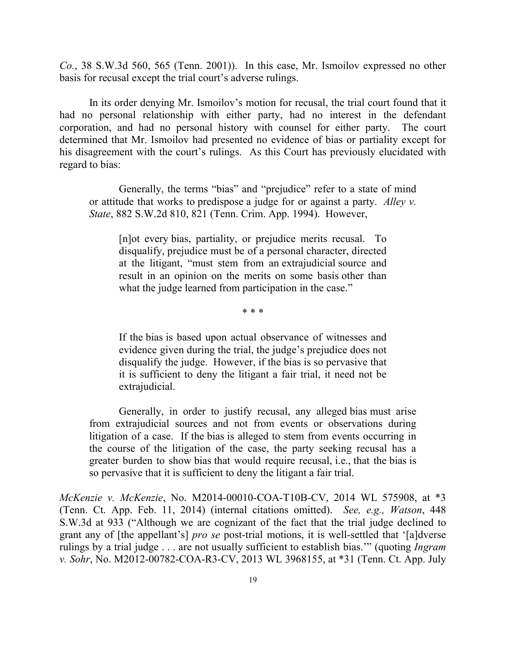*Co.*, 38 S.W.3d 560, 565 (Tenn. 2001)). In this case, Mr. Ismoilov expressed no other basis for recusal except the trial court's adverse rulings.

In its order denying Mr. Ismoilov's motion for recusal, the trial court found that it had no personal relationship with either party, had no interest in the defendant corporation, and had no personal history with counsel for either party. The court determined that Mr. Ismoilov had presented no evidence of bias or partiality except for his disagreement with the court's rulings. As this Court has previously elucidated with regard to bias:

Generally, the terms "bias" and "prejudice" refer to a state of mind or attitude that works to predispose a judge for or against a party. *Alley v. State*, 882 S.W.2d 810, 821 (Tenn. Crim. App. 1994). However,

[n]ot every bias, partiality, or prejudice merits recusal. To disqualify, prejudice must be of a personal character, directed at the litigant, "must stem from an extrajudicial source and result in an opinion on the merits on some basis other than what the judge learned from participation in the case."

\* \* \*

If the bias is based upon actual observance of witnesses and evidence given during the trial, the judge's prejudice does not disqualify the judge. However, if the bias is so pervasive that it is sufficient to deny the litigant a fair trial, it need not be extrajudicial.

Generally, in order to justify recusal, any alleged bias must arise from extrajudicial sources and not from events or observations during litigation of a case. If the bias is alleged to stem from events occurring in the course of the litigation of the case, the party seeking recusal has a greater burden to show bias that would require recusal, i.e., that the bias is so pervasive that it is sufficient to deny the litigant a fair trial.

*McKenzie v. McKenzie*, No. M2014-00010-COA-T10B-CV, 2014 WL 575908, at \*3 (Tenn. Ct. App. Feb. 11, 2014) (internal citations omitted). *See, e.g., Watson*, 448 S.W.3d at 933 ("Although we are cognizant of the fact that the trial judge declined to grant any of [the appellant's] *pro se* post-trial motions, it is well-settled that '[a]dverse rulings by a trial judge . . . are not usually sufficient to establish bias.'" (quoting *Ingram v. Sohr*, No. M2012-00782-COA-R3-CV, 2013 WL 3968155, at \*31 (Tenn. Ct. App. July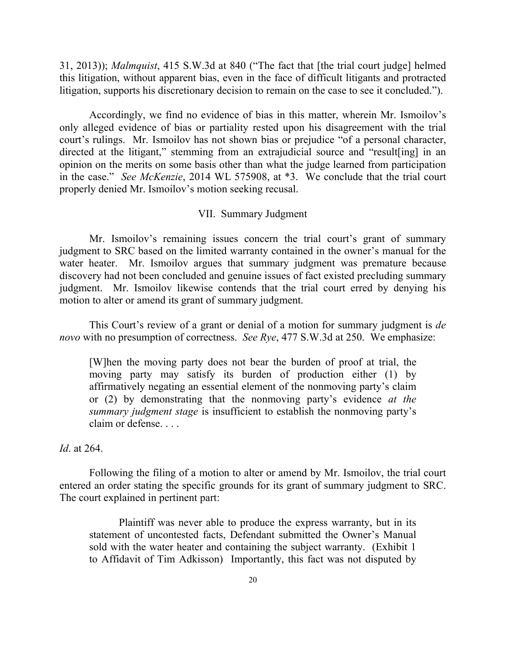31, 2013)); *Malmquist*, 415 S.W.3d at 840 ("The fact that [the trial court judge] helmed this litigation, without apparent bias, even in the face of difficult litigants and protracted litigation, supports his discretionary decision to remain on the case to see it concluded.").

Accordingly, we find no evidence of bias in this matter, wherein Mr. Ismoilov's only alleged evidence of bias or partiality rested upon his disagreement with the trial court's rulings. Mr. Ismoilov has not shown bias or prejudice "of a personal character, directed at the litigant," stemming from an extrajudicial source and "result[ing] in an opinion on the merits on some basis other than what the judge learned from participation in the case." *See McKenzie*, 2014 WL 575908, at \*3. We conclude that the trial court properly denied Mr. Ismoilov's motion seeking recusal.

### VII. Summary Judgment

Mr. Ismoilov's remaining issues concern the trial court's grant of summary judgment to SRC based on the limited warranty contained in the owner's manual for the water heater. Mr. Ismoilov argues that summary judgment was premature because discovery had not been concluded and genuine issues of fact existed precluding summary judgment. Mr. Ismoilov likewise contends that the trial court erred by denying his motion to alter or amend its grant of summary judgment.

This Court's review of a grant or denial of a motion for summary judgment is *de novo* with no presumption of correctness. *See Rye*, 477 S.W.3d at 250. We emphasize:

[W]hen the moving party does not bear the burden of proof at trial, the moving party may satisfy its burden of production either (1) by affirmatively negating an essential element of the nonmoving party's claim or (2) by demonstrating that the nonmoving party's evidence *at the summary judgment stage* is insufficient to establish the nonmoving party's claim or defense. . . .

### *Id*. at 264.

Following the filing of a motion to alter or amend by Mr. Ismoilov, the trial court entered an order stating the specific grounds for its grant of summary judgment to SRC. The court explained in pertinent part:

Plaintiff was never able to produce the express warranty, but in its statement of uncontested facts, Defendant submitted the Owner's Manual sold with the water heater and containing the subject warranty. (Exhibit 1 to Affidavit of Tim Adkisson) Importantly, this fact was not disputed by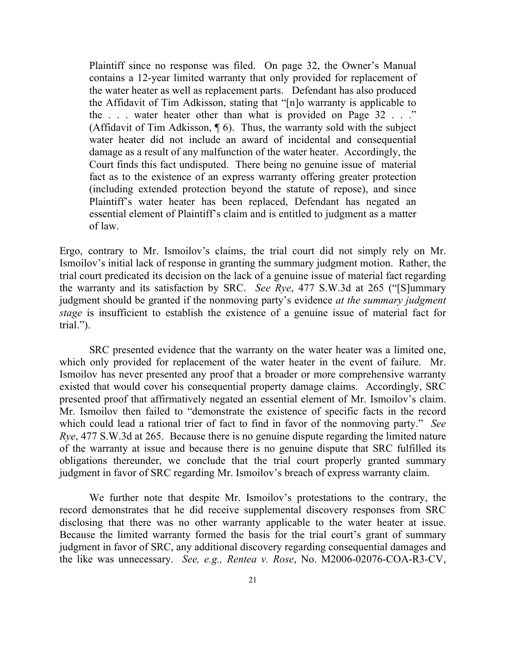Plaintiff since no response was filed. On page 32, the Owner's Manual contains a 12-year limited warranty that only provided for replacement of the water heater as well as replacement parts. Defendant has also produced the Affidavit of Tim Adkisson, stating that "[n]o warranty is applicable to the . . . water heater other than what is provided on Page 32 . . ." (Affidavit of Tim Adkisson,  $\P$  6). Thus, the warranty sold with the subject water heater did not include an award of incidental and consequential damage as a result of any malfunction of the water heater. Accordingly, the Court finds this fact undisputed. There being no genuine issue of material fact as to the existence of an express warranty offering greater protection (including extended protection beyond the statute of repose), and since Plaintiff's water heater has been replaced, Defendant has negated an essential element of Plaintiff's claim and is entitled to judgment as a matter of law.

Ergo, contrary to Mr. Ismoilov's claims, the trial court did not simply rely on Mr. Ismoilov's initial lack of response in granting the summary judgment motion. Rather, the trial court predicated its decision on the lack of a genuine issue of material fact regarding the warranty and its satisfaction by SRC. *See Rye*, 477 S.W.3d at 265 ("[S]ummary judgment should be granted if the nonmoving party's evidence *at the summary judgment stage* is insufficient to establish the existence of a genuine issue of material fact for trial.").

SRC presented evidence that the warranty on the water heater was a limited one, which only provided for replacement of the water heater in the event of failure. Mr. Ismoilov has never presented any proof that a broader or more comprehensive warranty existed that would cover his consequential property damage claims. Accordingly, SRC presented proof that affirmatively negated an essential element of Mr. Ismoilov's claim. Mr. Ismoilov then failed to "demonstrate the existence of specific facts in the record which could lead a rational trier of fact to find in favor of the nonmoving party." *See Rye*, 477 S.W.3d at 265. Because there is no genuine dispute regarding the limited nature of the warranty at issue and because there is no genuine dispute that SRC fulfilled its obligations thereunder, we conclude that the trial court properly granted summary judgment in favor of SRC regarding Mr. Ismoilov's breach of express warranty claim.

We further note that despite Mr. Ismoilov's protestations to the contrary, the record demonstrates that he did receive supplemental discovery responses from SRC disclosing that there was no other warranty applicable to the water heater at issue. Because the limited warranty formed the basis for the trial court's grant of summary judgment in favor of SRC, any additional discovery regarding consequential damages and the like was unnecessary. *See, e.g., Rentea v. Rose*, No. M2006-02076-COA-R3-CV,